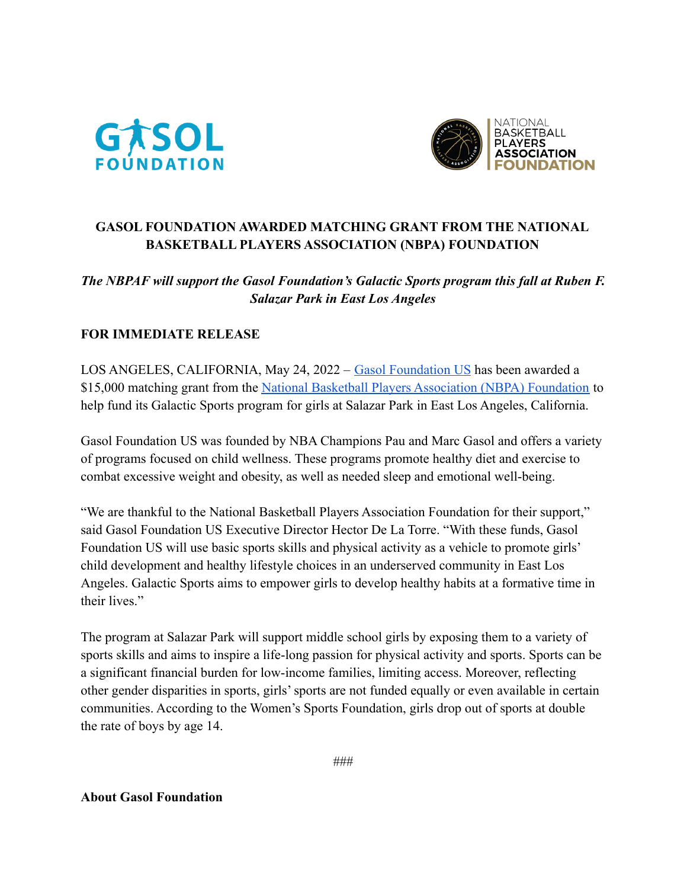



## **GASOL FOUNDATION AWARDED MATCHING GRANT FROM THE NATIONAL BASKETBALL PLAYERS ASSOCIATION (NBPA) FOUNDATION**

## *The NBPAF will support the Gasol Foundation's Galactic Sports program this fall at Ruben F. Salazar Park in East Los Angeles*

## **FOR IMMEDIATE RELEASE**

LOS ANGELES, CALIFORNIA, May 24, 2022 – [Gasol Foundation](https://www.gasolfoundation.org/) US has been awarded a \$15,000 matching grant from the National Basketball [Players Association \(NBPA\) Foundation](https://www.nbpafoundation.com/) to help fund its Galactic Sports program for girls at Salazar Park in East Los Angeles, California.

Gasol Foundation US was founded by NBA Champions Pau and Marc Gasol and offers a variety of programs focused on child wellness. These programs promote healthy diet and exercise to combat excessive weight and obesity, as well as needed sleep and emotional well-being.

"We are thankful to the National Basketball Players Association Foundation for their support," said Gasol Foundation US Executive Director Hector De La Torre. "With these funds, Gasol Foundation US will use basic sports skills and physical activity as a vehicle to promote girls' child development and healthy lifestyle choices in an underserved community in East Los Angeles. Galactic Sports aims to empower girls to develop healthy habits at a formative time in their lives."

The program at Salazar Park will support middle school girls by exposing them to a variety of sports skills and aims to inspire a life-long passion for physical activity and sports. Sports can be a significant financial burden for low-income families, limiting access. Moreover, reflecting other gender disparities in sports, girls' sports are not funded equally or even available in certain communities. According to the Women's Sports Foundation, girls drop out of sports at double the rate of boys by age 14.

**About Gasol Foundation**